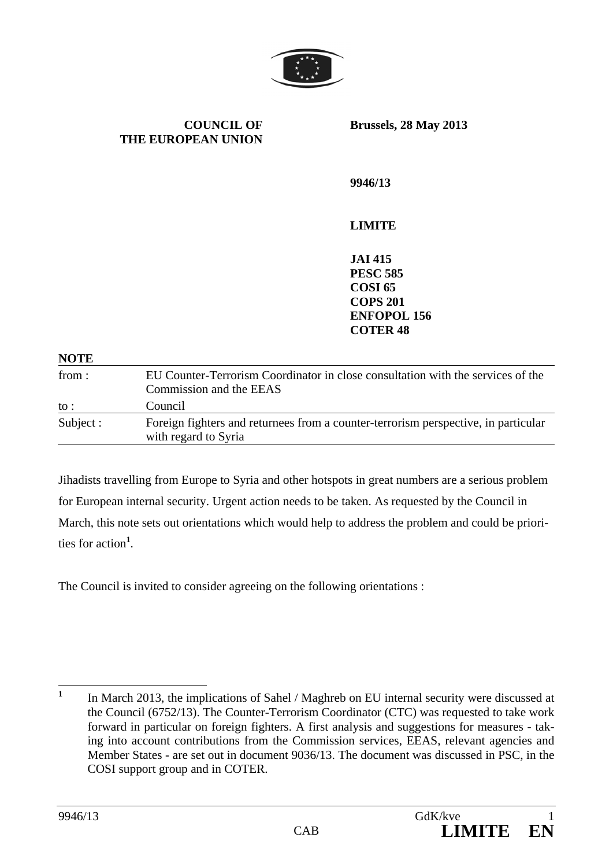

**COUNCIL OF THE EUROPEAN UNION** **Brussels, 28 May 2013** 

**9946/13** 

## **LIMITE**

**JAI 415 PESC 585 COSI 65 COPS 201 ENFOPOL 156 COTER 48**

## **NOTE**

| from:           | EU Counter-Terrorism Coordinator in close consultation with the services of the<br>Commission and the EEAS |
|-----------------|------------------------------------------------------------------------------------------------------------|
| $\mathrm{to}$ : | Council                                                                                                    |
| Subject :       | Foreign fighters and returnees from a counter-terrorism perspective, in particular<br>with regard to Syria |

Jihadists travelling from Europe to Syria and other hotspots in great numbers are a serious problem for European internal security. Urgent action needs to be taken. As requested by the Council in March, this note sets out orientations which would help to address the problem and could be priorities for action**<sup>1</sup>** .

The Council is invited to consider agreeing on the following orientations :

 **1** In March 2013, the implications of Sahel / Maghreb on EU internal security were discussed at the Council (6752/13). The Counter-Terrorism Coordinator (CTC) was requested to take work forward in particular on foreign fighters. A first analysis and suggestions for measures - taking into account contributions from the Commission services, EEAS, relevant agencies and Member States - are set out in document 9036/13. The document was discussed in PSC, in the COSI support group and in COTER.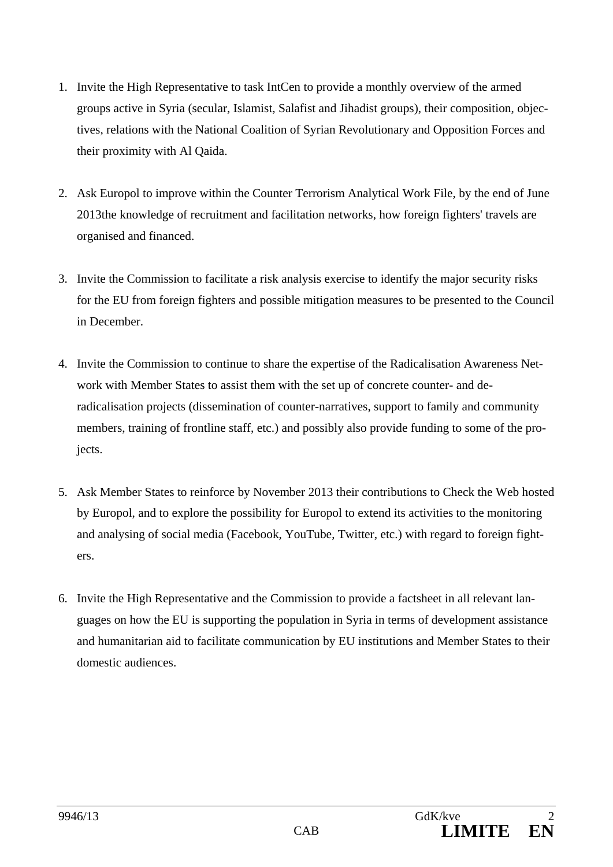- 1. Invite the High Representative to task IntCen to provide a monthly overview of the armed groups active in Syria (secular, Islamist, Salafist and Jihadist groups), their composition, objectives, relations with the National Coalition of Syrian Revolutionary and Opposition Forces and their proximity with Al Qaida.
- 2. Ask Europol to improve within the Counter Terrorism Analytical Work File, by the end of June 2013the knowledge of recruitment and facilitation networks, how foreign fighters' travels are organised and financed.
- 3. Invite the Commission to facilitate a risk analysis exercise to identify the major security risks for the EU from foreign fighters and possible mitigation measures to be presented to the Council in December.
- 4. Invite the Commission to continue to share the expertise of the Radicalisation Awareness Network with Member States to assist them with the set up of concrete counter- and deradicalisation projects (dissemination of counter-narratives, support to family and community members, training of frontline staff, etc.) and possibly also provide funding to some of the projects.
- 5. Ask Member States to reinforce by November 2013 their contributions to Check the Web hosted by Europol, and to explore the possibility for Europol to extend its activities to the monitoring and analysing of social media (Facebook, YouTube, Twitter, etc.) with regard to foreign fighters.
- 6. Invite the High Representative and the Commission to provide a factsheet in all relevant languages on how the EU is supporting the population in Syria in terms of development assistance and humanitarian aid to facilitate communication by EU institutions and Member States to their domestic audiences.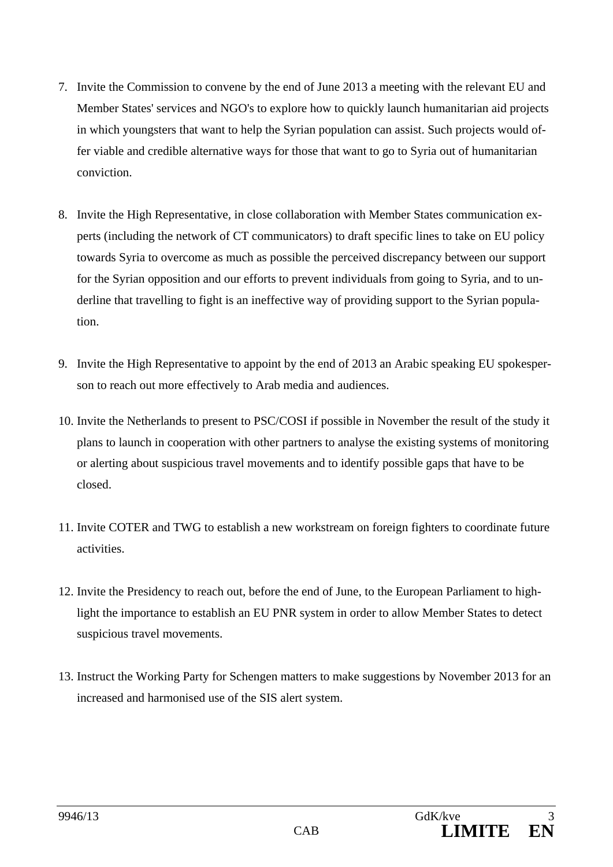- 7. Invite the Commission to convene by the end of June 2013 a meeting with the relevant EU and Member States' services and NGO's to explore how to quickly launch humanitarian aid projects in which youngsters that want to help the Syrian population can assist. Such projects would offer viable and credible alternative ways for those that want to go to Syria out of humanitarian conviction.
- 8. Invite the High Representative, in close collaboration with Member States communication experts (including the network of CT communicators) to draft specific lines to take on EU policy towards Syria to overcome as much as possible the perceived discrepancy between our support for the Syrian opposition and our efforts to prevent individuals from going to Syria, and to underline that travelling to fight is an ineffective way of providing support to the Syrian population.
- 9. Invite the High Representative to appoint by the end of 2013 an Arabic speaking EU spokesperson to reach out more effectively to Arab media and audiences.
- 10. Invite the Netherlands to present to PSC/COSI if possible in November the result of the study it plans to launch in cooperation with other partners to analyse the existing systems of monitoring or alerting about suspicious travel movements and to identify possible gaps that have to be closed.
- 11. Invite COTER and TWG to establish a new workstream on foreign fighters to coordinate future activities.
- 12. Invite the Presidency to reach out, before the end of June, to the European Parliament to highlight the importance to establish an EU PNR system in order to allow Member States to detect suspicious travel movements.
- 13. Instruct the Working Party for Schengen matters to make suggestions by November 2013 for an increased and harmonised use of the SIS alert system.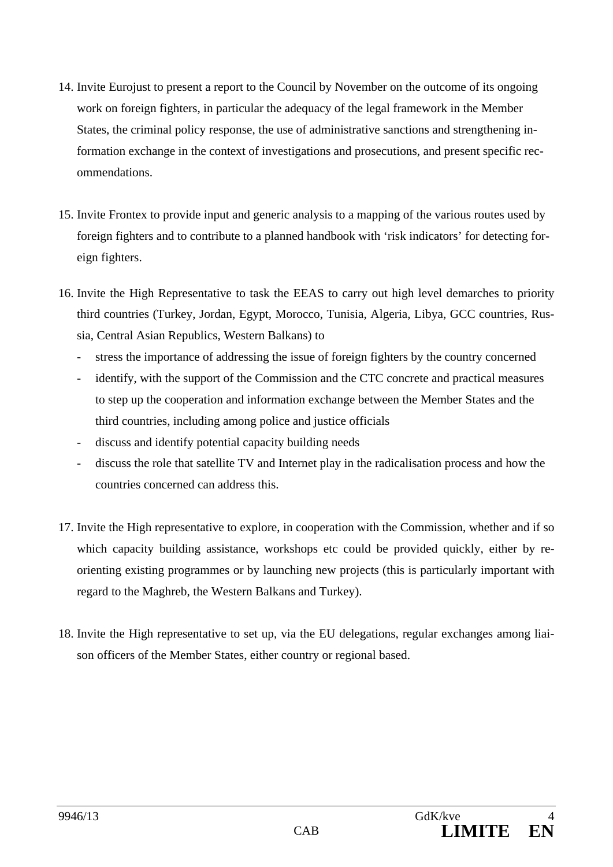- 14. Invite Eurojust to present a report to the Council by November on the outcome of its ongoing work on foreign fighters, in particular the adequacy of the legal framework in the Member States, the criminal policy response, the use of administrative sanctions and strengthening information exchange in the context of investigations and prosecutions, and present specific recommendations.
- 15. Invite Frontex to provide input and generic analysis to a mapping of the various routes used by foreign fighters and to contribute to a planned handbook with 'risk indicators' for detecting foreign fighters.
- 16. Invite the High Representative to task the EEAS to carry out high level demarches to priority third countries (Turkey, Jordan, Egypt, Morocco, Tunisia, Algeria, Libya, GCC countries, Russia, Central Asian Republics, Western Balkans) to
	- stress the importance of addressing the issue of foreign fighters by the country concerned
	- identify, with the support of the Commission and the CTC concrete and practical measures to step up the cooperation and information exchange between the Member States and the third countries, including among police and justice officials
	- discuss and identify potential capacity building needs
	- discuss the role that satellite TV and Internet play in the radicalisation process and how the countries concerned can address this.
- 17. Invite the High representative to explore, in cooperation with the Commission, whether and if so which capacity building assistance, workshops etc could be provided quickly, either by reorienting existing programmes or by launching new projects (this is particularly important with regard to the Maghreb, the Western Balkans and Turkey).
- 18. Invite the High representative to set up, via the EU delegations, regular exchanges among liaison officers of the Member States, either country or regional based.